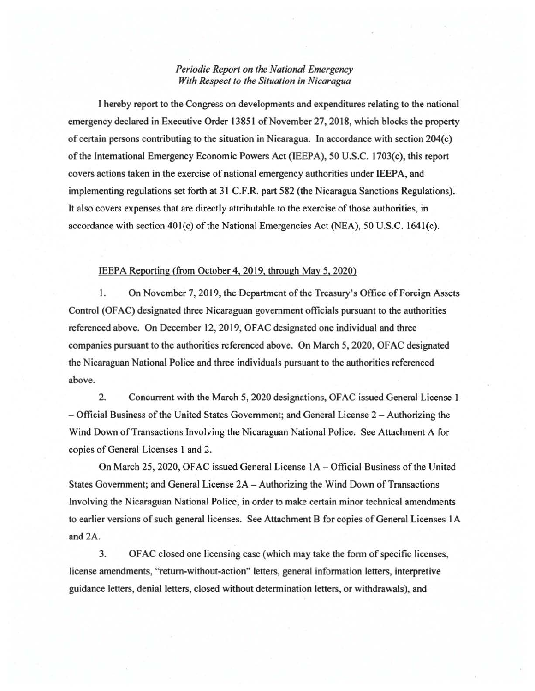## *Periodic Report on the National Emergency With Respect to the Situation in Nicaragua*

I hereby report to the Congress on developments and expenditures relating to the national emergency declared in Executive Order 13851 of November 27, 2018, which blocks the property of certain persons contributing to the situation in Nicaragua. In accordance with section 204(c) of the International Emergency Economic Powers Act (IEEPA), 50 U.S.C. 1703(c), this report covers actions taken in the exercise of national emergency authorities under IEEPA, and implementing regulations set forth at 31 C.F.R. part 582 (the Nicaragua Sanctions Regulations). It also covers expenses that are directly attributable to the exercise of those authorities, in accordance with section  $401(c)$  of the National Emergencies Act (NEA), 50 U.S.C. 1641(c).

## IEEPA Reporting (from October4, 2019, through May 5, 2020)

1. On November 7, 2019, the Department of the Treasury's Office of Foreign Assets Control (OFAC) designated three Nicaraguan government officials pursuant to the authorities referenced above. On December 12,2019, OFAC designated one individual and three companies pursuant to the authorities referenced above. On March 5, 2020, OFAC designated the Nicaraguan National Police and three individuals pursuant to the authorities referenced above.

2. Concurrent with the March 5, 2020 designations, OF AC issued General License 1 - Official Business of the United States Government; and General License 2 -Authorizing the Wind Down of Transactions Involving the Nicaraguan National Police. See Attachment A for copies of General Licenses 1 and 2.

On March 25,2020, OFAC issued General License lA - Official Business of the United States Government; and General License 2A- Authorizing the Wind Down of Transactions Involving the Nicaraguan National Police, in order to make certain minor technical amendments to earlier versions of such general licenses. See Attachment B for copies of General Licenses I A and 2A.

3. OF AC closed one licensing case (which may take the form of specific licenses, license amendments, "return-without-action" letters, general information letters, interpretive guidance letters, denial letters, closed without determination letters, or withdrawals), and